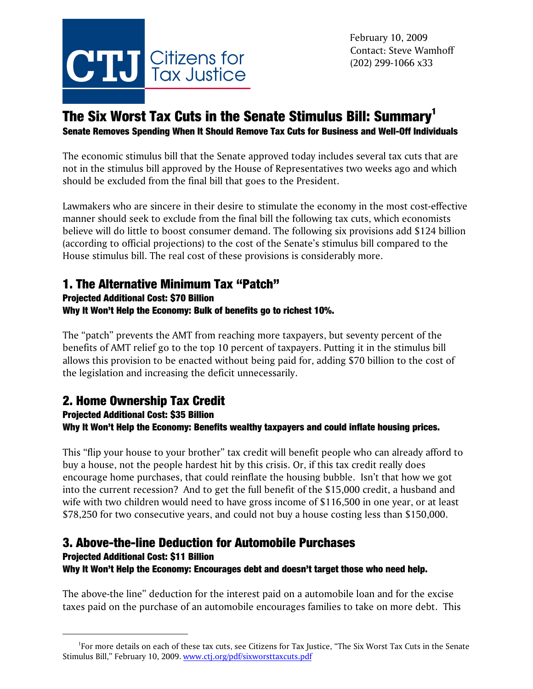

# The Six Worst Tax Cuts in the Senate Stimulus Bill: Summary<sup>1</sup>

Senate Removes Spending When It Should Remove Tax Cuts for Business and Well-Off Individuals

The economic stimulus bill that the Senate approved today includes several tax cuts that are not in the stimulus bill approved by the House of Representatives two weeks ago and which should be excluded from the final bill that goes to the President.

Lawmakers who are sincere in their desire to stimulate the economy in the most cost-effective manner should seek to exclude from the final bill the following tax cuts, which economists believe will do little to boost consumer demand. The following six provisions add \$124 billion (according to official projections) to the cost of the Senate's stimulus bill compared to the House stimulus bill. The real cost of these provisions is considerably more.

# 1. The Alternative Minimum Tax "Patch"

### Projected Additional Cost: \$70 Billion Why It Won't Help the Economy: Bulk of benefits go to richest 10%.

The "patch" prevents the AMT from reaching more taxpayers, but seventy percent of the benefits of AMT relief go to the top 10 percent of taxpayers. Putting it in the stimulus bill allows this provision to be enacted without being paid for, adding \$70 billion to the cost of the legislation and increasing the deficit unnecessarily.

# 2. Home Ownership Tax Credit

### Projected Additional Cost: \$35 Billion Why It Won't Help the Economy: Benefits wealthy taxpayers and could inflate housing prices.

This "flip your house to your brother" tax credit will benefit people who can already afford to buy a house, not the people hardest hit by this crisis. Or, if this tax credit really does encourage home purchases, that could reinflate the housing bubble. Isn't that how we got into the current recession? And to get the full benefit of the \$15,000 credit, a husband and wife with two children would need to have gross income of \$116,500 in one year, or at least \$78,250 for two consecutive years, and could not buy a house costing less than \$150,000.

## 3. Above-the-line Deduction for Automobile Purchases

#### Projected Additional Cost: \$11 Billion Why It Won't Help the Economy: Encourages debt and doesn't target those who need help.

The above-the line" deduction for the interest paid on a automobile loan and for the excise taxes paid on the purchase of an automobile encourages families to take on more debt. This

<sup>&</sup>lt;sup>1</sup>For more details on each of these tax cuts, see Citizens for Tax Justice, "The Six Worst Tax Cuts in the Senate Stimulus Bill," February 10, 2009. www.ctj.org/pdf/sixworsttaxcuts.pdf